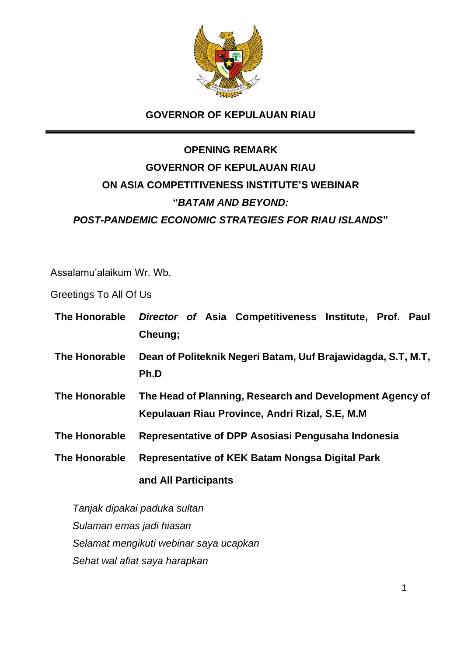

## **GOVERNOR OF KEPULAUAN RIAU**

# **OPENING REMARK GOVERNOR OF KEPULAUAN RIAU ON ASIA COMPETITIVENESS INSTITUTE'S WEBINAR "***BATAM AND BEYOND: POST-PANDEMIC ECONOMIC STRATEGIES FOR RIAU ISLANDS***"**

Assalamu'alaikum Wr. Wb.

Greetings To All Of Us

| The Honorable        | Director of Asia Competitiveness Institute, Prof. Paul<br>Cheung;                                           |
|----------------------|-------------------------------------------------------------------------------------------------------------|
| The Honorable        | Dean of Politeknik Negeri Batam, Uuf Brajawidagda, S.T, M.T,<br>Ph.D                                        |
| <b>The Honorable</b> | The Head of Planning, Research and Development Agency of<br>Kepulauan Riau Province, Andri Rizal, S.E. M.M. |
| The Honorable        | Representative of DPP Asosiasi Pengusaha Indonesia                                                          |
| The Honorable        | Representative of KEK Batam Nongsa Digital Park                                                             |
|                      | and All Participants                                                                                        |

*Tanjak dipakai paduka sultan Sulaman emas jadi hiasan Selamat mengikuti webinar saya ucapkan Sehat wal afiat saya harapkan*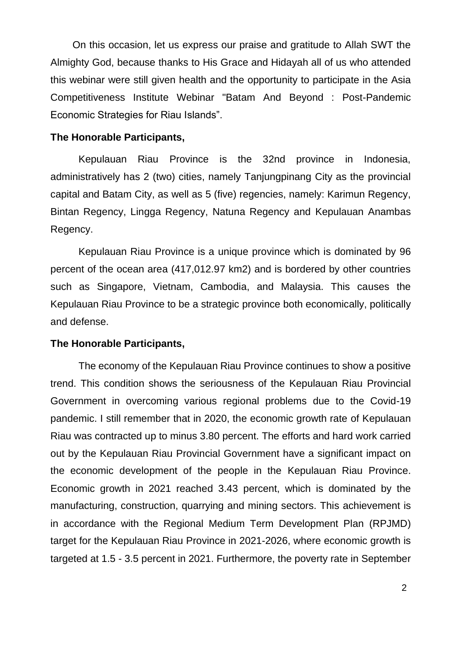On this occasion, let us express our praise and gratitude to Allah SWT the Almighty God, because thanks to His Grace and Hidayah all of us who attended this webinar were still given health and the opportunity to participate in the Asia Competitiveness Institute Webinar "Batam And Beyond : Post-Pandemic Economic Strategies for Riau Islands".

#### **The Honorable Participants,**

Kepulauan Riau Province is the 32nd province in Indonesia, administratively has 2 (two) cities, namely Tanjungpinang City as the provincial capital and Batam City, as well as 5 (five) regencies, namely: Karimun Regency, Bintan Regency, Lingga Regency, Natuna Regency and Kepulauan Anambas Regency.

Kepulauan Riau Province is a unique province which is dominated by 96 percent of the ocean area (417,012.97 km2) and is bordered by other countries such as Singapore, Vietnam, Cambodia, and Malaysia. This causes the Kepulauan Riau Province to be a strategic province both economically, politically and defense.

#### **The Honorable Participants,**

The economy of the Kepulauan Riau Province continues to show a positive trend. This condition shows the seriousness of the Kepulauan Riau Provincial Government in overcoming various regional problems due to the Covid-19 pandemic. I still remember that in 2020, the economic growth rate of Kepulauan Riau was contracted up to minus 3.80 percent. The efforts and hard work carried out by the Kepulauan Riau Provincial Government have a significant impact on the economic development of the people in the Kepulauan Riau Province. Economic growth in 2021 reached 3.43 percent, which is dominated by the manufacturing, construction, quarrying and mining sectors. This achievement is in accordance with the Regional Medium Term Development Plan (RPJMD) target for the Kepulauan Riau Province in 2021-2026, where economic growth is targeted at 1.5 - 3.5 percent in 2021. Furthermore, the poverty rate in September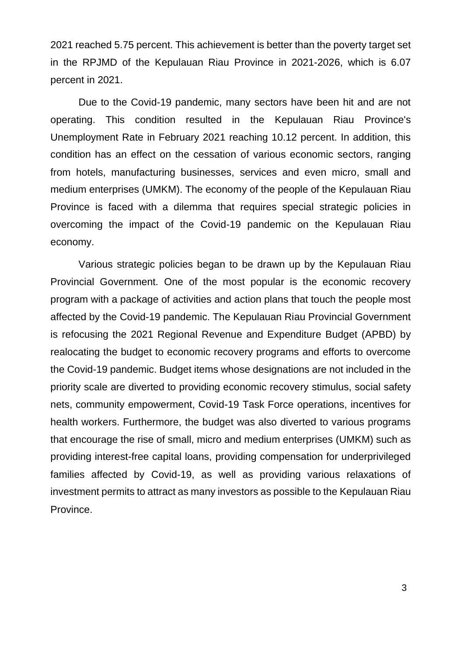2021 reached 5.75 percent. This achievement is better than the poverty target set in the RPJMD of the Kepulauan Riau Province in 2021-2026, which is 6.07 percent in 2021.

Due to the Covid-19 pandemic, many sectors have been hit and are not operating. This condition resulted in the Kepulauan Riau Province's Unemployment Rate in February 2021 reaching 10.12 percent. In addition, this condition has an effect on the cessation of various economic sectors, ranging from hotels, manufacturing businesses, services and even micro, small and medium enterprises (UMKM). The economy of the people of the Kepulauan Riau Province is faced with a dilemma that requires special strategic policies in overcoming the impact of the Covid-19 pandemic on the Kepulauan Riau economy.

Various strategic policies began to be drawn up by the Kepulauan Riau Provincial Government. One of the most popular is the economic recovery program with a package of activities and action plans that touch the people most affected by the Covid-19 pandemic. The Kepulauan Riau Provincial Government is refocusing the 2021 Regional Revenue and Expenditure Budget (APBD) by realocating the budget to economic recovery programs and efforts to overcome the Covid-19 pandemic. Budget items whose designations are not included in the priority scale are diverted to providing economic recovery stimulus, social safety nets, community empowerment, Covid-19 Task Force operations, incentives for health workers. Furthermore, the budget was also diverted to various programs that encourage the rise of small, micro and medium enterprises (UMKM) such as providing interest-free capital loans, providing compensation for underprivileged families affected by Covid-19, as well as providing various relaxations of investment permits to attract as many investors as possible to the Kepulauan Riau Province.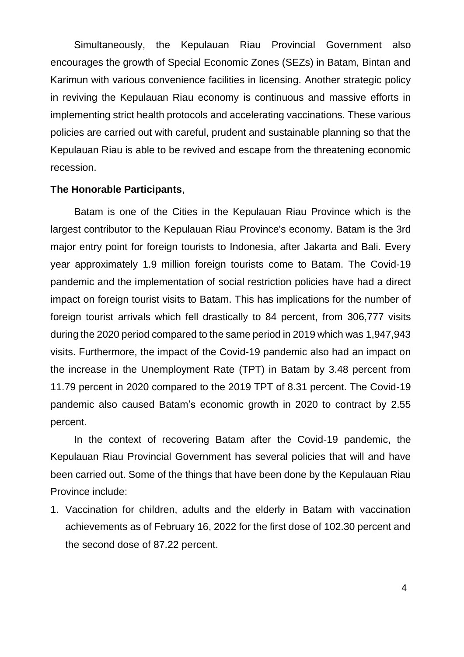Simultaneously, the Kepulauan Riau Provincial Government also encourages the growth of Special Economic Zones (SEZs) in Batam, Bintan and Karimun with various convenience facilities in licensing. Another strategic policy in reviving the Kepulauan Riau economy is continuous and massive efforts in implementing strict health protocols and accelerating vaccinations. These various policies are carried out with careful, prudent and sustainable planning so that the Kepulauan Riau is able to be revived and escape from the threatening economic recession.

#### **The Honorable Participants**,

Batam is one of the Cities in the Kepulauan Riau Province which is the largest contributor to the Kepulauan Riau Province's economy. Batam is the 3rd major entry point for foreign tourists to Indonesia, after Jakarta and Bali. Every year approximately 1.9 million foreign tourists come to Batam. The Covid-19 pandemic and the implementation of social restriction policies have had a direct impact on foreign tourist visits to Batam. This has implications for the number of foreign tourist arrivals which fell drastically to 84 percent, from 306,777 visits during the 2020 period compared to the same period in 2019 which was 1,947,943 visits. Furthermore, the impact of the Covid-19 pandemic also had an impact on the increase in the Unemployment Rate (TPT) in Batam by 3.48 percent from 11.79 percent in 2020 compared to the 2019 TPT of 8.31 percent. The Covid-19 pandemic also caused Batam's economic growth in 2020 to contract by 2.55 percent.

In the context of recovering Batam after the Covid-19 pandemic, the Kepulauan Riau Provincial Government has several policies that will and have been carried out. Some of the things that have been done by the Kepulauan Riau Province include:

1. Vaccination for children, adults and the elderly in Batam with vaccination achievements as of February 16, 2022 for the first dose of 102.30 percent and the second dose of 87.22 percent.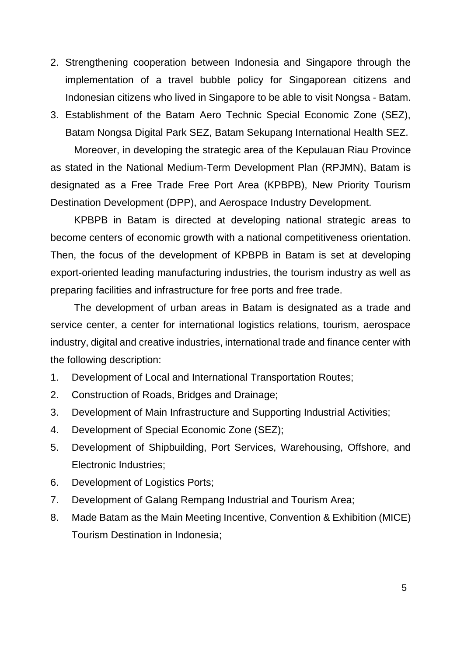- 2. Strengthening cooperation between Indonesia and Singapore through the implementation of a travel bubble policy for Singaporean citizens and Indonesian citizens who lived in Singapore to be able to visit Nongsa - Batam.
- 3. Establishment of the Batam Aero Technic Special Economic Zone (SEZ), Batam Nongsa Digital Park SEZ, Batam Sekupang International Health SEZ. Moreover, in developing the strategic area of the Kepulauan Riau Province as stated in the National Medium-Term Development Plan (RPJMN), Batam is designated as a Free Trade Free Port Area (KPBPB), New Priority Tourism Destination Development (DPP), and Aerospace Industry Development.

KPBPB in Batam is directed at developing national strategic areas to become centers of economic growth with a national competitiveness orientation. Then, the focus of the development of KPBPB in Batam is set at developing export-oriented leading manufacturing industries, the tourism industry as well as preparing facilities and infrastructure for free ports and free trade.

The development of urban areas in Batam is designated as a trade and service center, a center for international logistics relations, tourism, aerospace industry, digital and creative industries, international trade and finance center with the following description:

- 1. Development of Local and International Transportation Routes;
- 2. Construction of Roads, Bridges and Drainage;
- 3. Development of Main Infrastructure and Supporting Industrial Activities;
- 4. Development of Special Economic Zone (SEZ);
- 5. Development of Shipbuilding, Port Services, Warehousing, Offshore, and Electronic Industries;
- 6. Development of Logistics Ports;
- 7. Development of Galang Rempang Industrial and Tourism Area;
- 8. Made Batam as the Main Meeting Incentive, Convention & Exhibition (MICE) Tourism Destination in Indonesia;